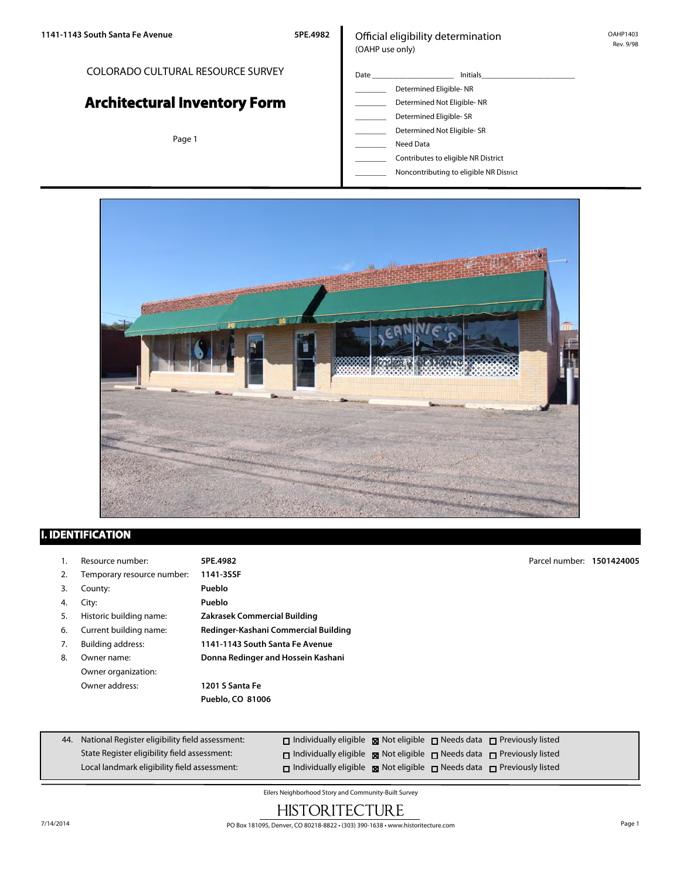#### COLORADO CULTURAL RESOURCE SURVEY

# **Architectural Inventory Form**

Page 1

#### Official eligibility determination (OAHP use only)

- Date \_\_\_\_\_\_\_\_\_\_\_\_\_\_\_\_\_\_\_\_\_ Initials\_\_\_\_\_\_\_\_\_\_\_\_\_\_\_\_\_\_\_\_\_\_\_\_ \_\_\_\_\_\_\_\_ Determined Eligible- NR Determined Not Eligible- NR Determined Eligible- SR Determined Not Eligible- SR \_\_\_\_\_\_\_\_ Need Data
	- \_\_\_\_\_\_\_\_ Contributes to eligible NR District
	- \_\_\_\_\_\_\_\_ Noncontributing to eligible NR District



## **I. IDENTIFICATION**

|                                                         | Resource number:           | 5PE.4982                             | Parcel number: 1501424005 |  |
|---------------------------------------------------------|----------------------------|--------------------------------------|---------------------------|--|
| 2.                                                      | Temporary resource number: | 1141-3SSF                            |                           |  |
| 3.                                                      | County:                    | Pueblo                               |                           |  |
| 4.                                                      | City:                      | Pueblo                               |                           |  |
| 5.                                                      | Historic building name:    | Zakrasek Commercial Building         |                           |  |
| 6.                                                      | Current building name:     | Redinger-Kashani Commercial Building |                           |  |
| 7.                                                      | Building address:          | 1141-1143 South Santa Fe Avenue      |                           |  |
| Donna Redinger and Hossein Kashani<br>8.<br>Owner name: |                            |                                      |                           |  |
|                                                         | Owner organization:        |                                      |                           |  |
|                                                         | Owner address:             | 1201 S Santa Fe                      |                           |  |
|                                                         |                            | Pueblo, CO 81006                     |                           |  |
|                                                         |                            |                                      |                           |  |
|                                                         |                            |                                      |                           |  |

| 44. National Register eligibility field assessment: | $\Box$ Individually eligible $\Box$ Not eligible $\Box$ Needs data $\Box$ Previously listed      |  |  |
|-----------------------------------------------------|--------------------------------------------------------------------------------------------------|--|--|
| State Register eligibility field assessment:        | $\Box$ Individually eligible $\boxtimes$ Not eligible $\Box$ Needs data $\Box$ Previously listed |  |  |
| Local landmark eligibility field assessment:        | $\Box$ Individually eligible $\boxtimes$ Not eligible $\Box$ Needs data $\Box$ Previously listed |  |  |

Eilers Neighborhood Story and Community-Built Survey

## **HISTORITECTURE**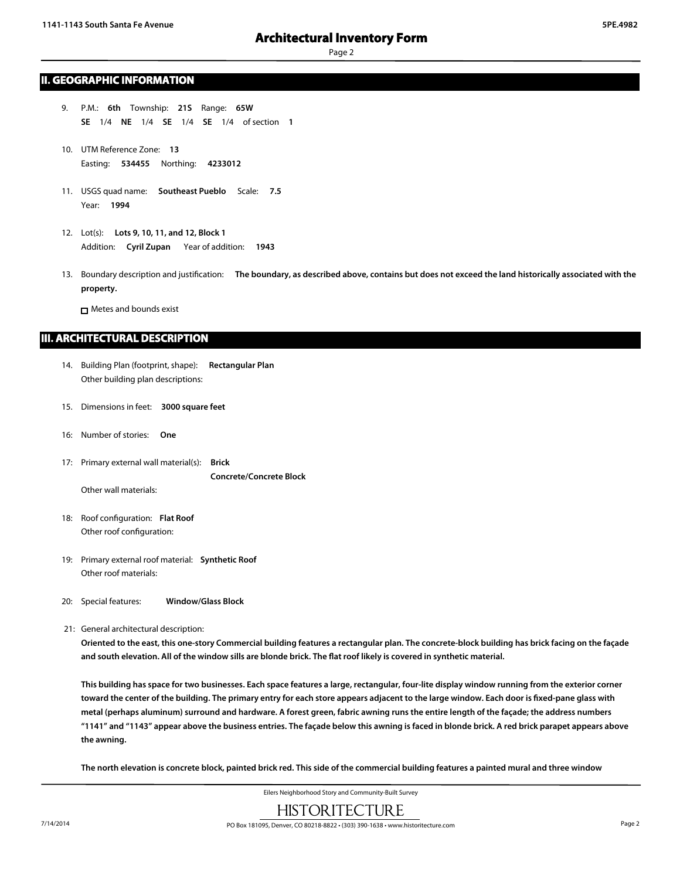#### **II. GEOGRAPHIC INFORMATION**

- 9. P.M.: **6th** Township: **21S** Range: **65W SE** 1/4 **NE** 1/4 **SE** 1/4 **SE** 1/4 of section **1**
- 10. UTM Reference Zone: **13** Easting: **534455** Northing: **4233012**
- 11. USGS quad name: **Southeast Pueblo** Scale: **7.5** Year: **1994**
- 12. Lot(s): **Lots 9, 10, 11, and 12, Block 1** Addition: **Cyril Zupan** Year of addition: **1943**
- 13. Boundary description and justification: **The boundary, as described above, contains but does not exceed the land historically associated with the property.**

Metes and bounds exist

#### **III. ARCHITECTURAL DESCRIPTION**

- 14. Building Plan (footprint, shape): **Rectangular Plan** Other building plan descriptions:
- 15. Dimensions in feet: **3000 square feet**
- 16: Number of stories: **One**
- 17: Primary external wall material(s): **Brick Concrete/Concrete Block**

Other wall materials:

- 18: Roof configuration: **Flat Roof** Other roof configuration:
- 19: Primary external roof material: **Synthetic Roof** Other roof materials:
- 20: Special features: **Window/Glass Block**
- 21: General architectural description:

**Oriented to the east, this one-story Commercial building features a rectangular plan. The concrete-block building has brick facing on the façade and south elevation. All of the window sills are blonde brick. The flat roof likely is covered in synthetic material.**

**This building has space for two businesses. Each space features a large, rectangular, four-lite display window running from the exterior corner toward the center of the building. The primary entry for each store appears adjacent to the large window. Each door is fixed-pane glass with metal (perhaps aluminum) surround and hardware. A forest green, fabric awning runs the entire length of the façade; the address numbers "1141" and "1143" appear above the business entries. The façade below this awning is faced in blonde brick. A red brick parapet appears above the awning.**

**The north elevation is concrete block, painted brick red. This side of the commercial building features a painted mural and three window**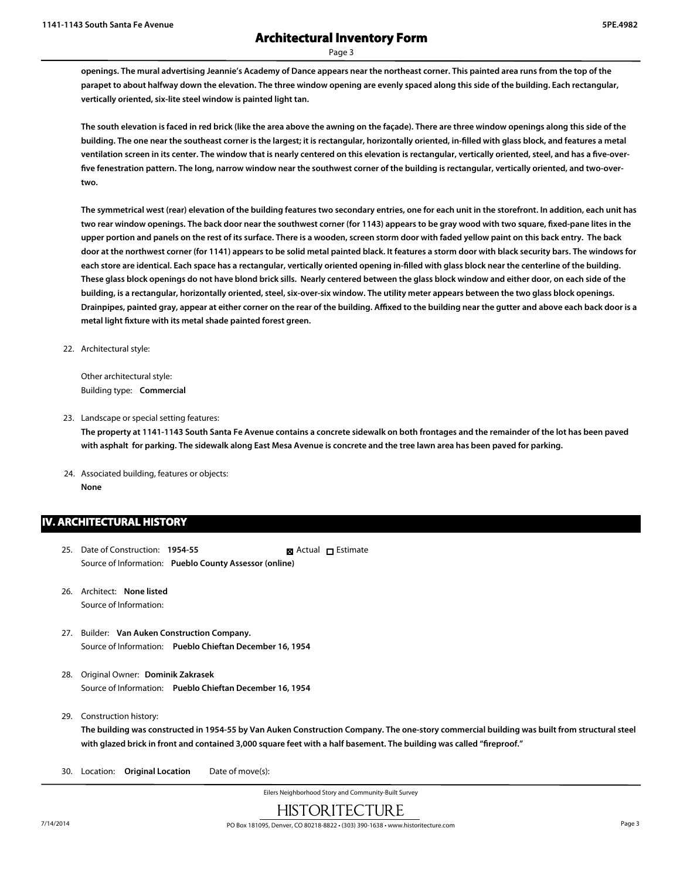**openings. The mural advertising Jeannie's Academy of Dance appears near the northeast corner. This painted area runs from the top of the parapet to about halfway down the elevation. The three window opening are evenly spaced along this side of the building. Each rectangular, vertically oriented, six-lite steel window is painted light tan.**

**The south elevation is faced in red brick (like the area above the awning on the façade). There are three window openings along this side of the building. The one near the southeast corner is the largest; it is rectangular, horizontally oriented, in-filled with glass block, and features a metal ventilation screen in its center. The window that is nearly centered on this elevation is rectangular, vertically oriented, steel, and has a five-overfive fenestration pattern. The long, narrow window near the southwest corner of the building is rectangular, vertically oriented, and two-overtwo.**

**The symmetrical west (rear) elevation of the building features two secondary entries, one for each unit in the storefront. In addition, each unit has two rear window openings. The back door near the southwest corner (for 1143) appears to be gray wood with two square, fixed-pane lites in the upper portion and panels on the rest of its surface. There is a wooden, screen storm door with faded yellow paint on this back entry. The back door at the northwest corner (for 1141) appears to be solid metal painted black. It features a storm door with black security bars. The windows for each store are identical. Each space has a rectangular, vertically oriented opening in-filled with glass block near the centerline of the building. These glass block openings do not have blond brick sills. Nearly centered between the glass block window and either door, on each side of the building, is a rectangular, horizontally oriented, steel, six-over-six window. The utility meter appears between the two glass block openings. Drainpipes, painted gray, appear at either corner on the rear of the building. Affixed to the building near the gutter and above each back door is a metal light fixture with its metal shade painted forest green.**

22. Architectural style:

Other architectural style: Building type: **Commercial**

23. Landscape or special setting features:

**The property at 1141-1143 South Santa Fe Avenue contains a concrete sidewalk on both frontages and the remainder of the lot has been paved with asphalt for parking. The sidewalk along East Mesa Avenue is concrete and the tree lawn area has been paved for parking.**

24. Associated building, features or objects: **None**

#### **IV. ARCHITECTURAL HISTORY**

- 25. Date of Construction: **1954-55** Source of Information: **Pueblo County Assessor (online)** ■ Actual □ Estimate
- 26. Architect: **None listed** Source of Information:
- 27. Builder: **Van Auken Construction Company.** Source of Information: **Pueblo Chieftan December 16, 1954**
- 28. Original Owner: **Dominik Zakrasek** Source of Information: **Pueblo Chieftan December 16, 1954**
- 29. Construction history:

**The building was constructed in 1954-55 by Van Auken Construction Company. The one-story commercial building was built from structural steel with glazed brick in front and contained 3,000 square feet with a half basement. The building was called "fireproof."**

30. Location: **Original Location** Date of move(s):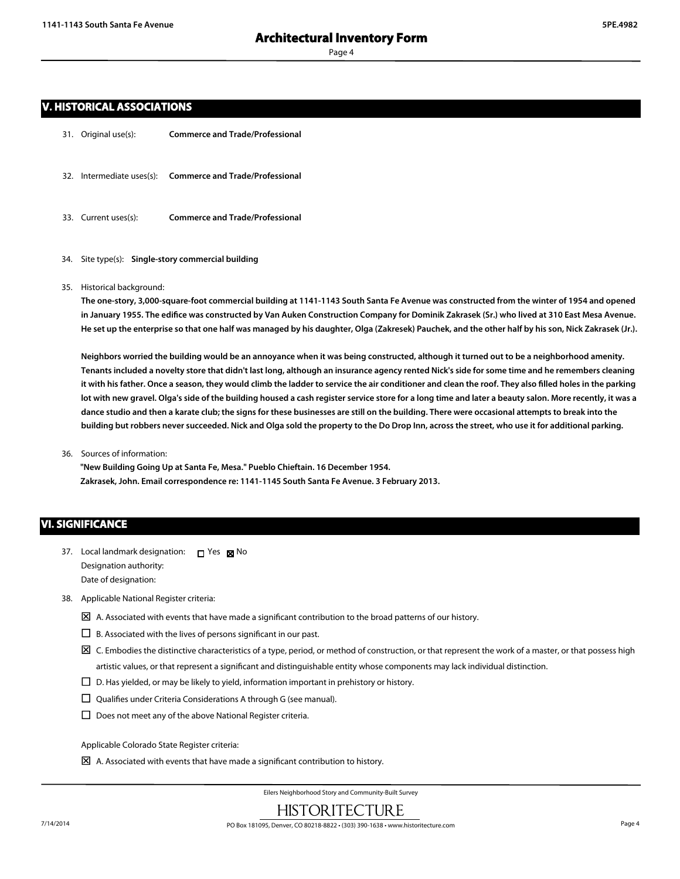#### **V. HISTORICAL ASSOCIATIONS**

- 31. Original use(s): **Commerce and Trade/Professional**
- 32. Intermediate uses(s): **Commerce and Trade/Professional**
- 33. Current uses(s): **Commerce and Trade/Professional**
- 34. Site type(s): **Single-story commercial building**
- 35. Historical background:

**The one-story, 3,000-square-foot commercial building at 1141-1143 South Santa Fe Avenue was constructed from the winter of 1954 and opened in January 1955. The edifice was constructed by Van Auken Construction Company for Dominik Zakrasek (Sr.) who lived at 310 East Mesa Avenue. He set up the enterprise so that one half was managed by his daughter, Olga (Zakresek) Pauchek, and the other half by his son, Nick Zakrasek (Jr.).**

**Neighbors worried the building would be an annoyance when it was being constructed, although it turned out to be a neighborhood amenity. Tenants included a novelty store that didn't last long, although an insurance agency rented Nick's side for some time and he remembers cleaning it with his father. Once a season, they would climb the ladder to service the air conditioner and clean the roof. They also filled holes in the parking lot with new gravel. Olga's side of the building housed a cash register service store for a long time and later a beauty salon. More recently, it was a dance studio and then a karate club; the signs for these businesses are still on the building. There were occasional attempts to break into the building but robbers never succeeded. Nick and Olga sold the property to the Do Drop Inn, across the street, who use it for additional parking.**

36. Sources of information:

**"New Building Going Up at Santa Fe, Mesa." Pueblo Chieftain. 16 December 1954. Zakrasek, John. Email correspondence re: 1141-1145 South Santa Fe Avenue. 3 February 2013.**

#### **VI. SIGNIFICANCE**

- 37. Local landmark designation:  $\Box$  Yes  $\boxtimes$  No Designation authority: Date of designation:
- 38. Applicable National Register criteria:
	- $\boxtimes$  A. Associated with events that have made a significant contribution to the broad patterns of our history.
	- $\square$  B. Associated with the lives of persons significant in our past.
	- $\boxtimes$  C. Embodies the distinctive characteristics of a type, period, or method of construction, or that represent the work of a master, or that possess high artistic values, or that represent a significant and distinguishable entity whose components may lack individual distinction.
	- $\square$  D. Has yielded, or may be likely to yield, information important in prehistory or history.
	- $\square$  Qualifies under Criteria Considerations A through G (see manual).
	- $\square$  Does not meet any of the above National Register criteria.

Applicable Colorado State Register criteria:

 $\boxtimes$  A. Associated with events that have made a significant contribution to history.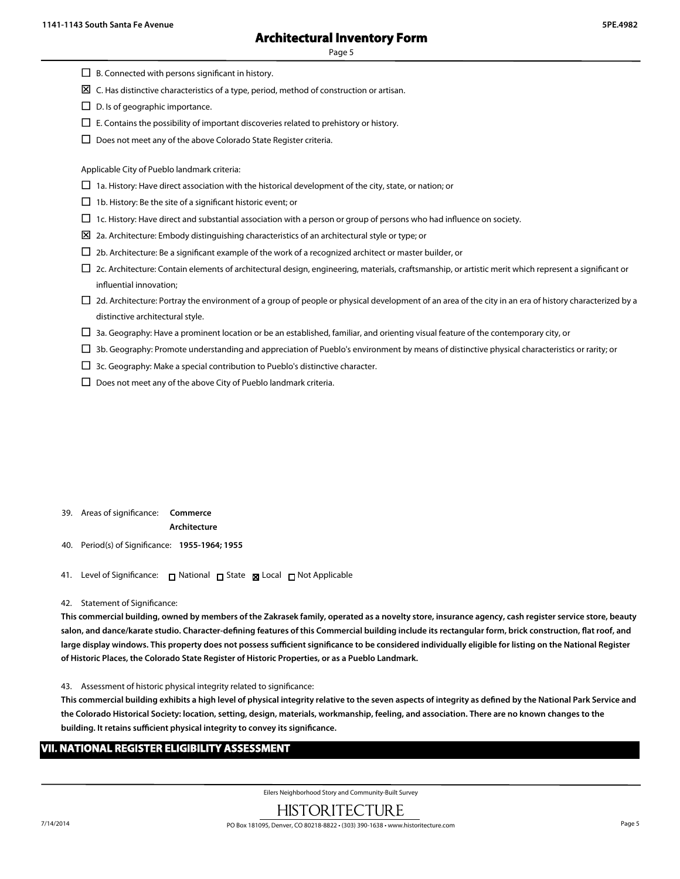- $\square$  B. Connected with persons significant in history.
- $\boxtimes$  C. Has distinctive characteristics of a type, period, method of construction or artisan.
- $\square$  D. Is of geographic importance.
- $\Box$  E. Contains the possibility of important discoveries related to prehistory or history.
- $\square$  Does not meet any of the above Colorado State Register criteria.

Applicable City of Pueblo landmark criteria:

- $\Box$  1a. History: Have direct association with the historical development of the city, state, or nation; or
- $\Box$  1b. History: Be the site of a significant historic event; or
- $\Box$  1c. History: Have direct and substantial association with a person or group of persons who had influence on society.
- $\Sigma$  2a. Architecture: Embody distinguishing characteristics of an architectural style or type; or
- $\Box$  2b. Architecture: Be a significant example of the work of a recognized architect or master builder, or
- $\Box$  2c. Architecture: Contain elements of architectural design, engineering, materials, craftsmanship, or artistic merit which represent a significant or influential innovation;
- $\Box$  2d. Architecture: Portray the environment of a group of people or physical development of an area of the city in an era of history characterized by a distinctive architectural style.
- $\Box$  3a. Geography: Have a prominent location or be an established, familiar, and orienting visual feature of the contemporary city, or
- $\Box$  3b. Geography: Promote understanding and appreciation of Pueblo's environment by means of distinctive physical characteristics or rarity; or
- $\Box$  3c. Geography: Make a special contribution to Pueblo's distinctive character.
- $\square$  Does not meet any of the above City of Pueblo landmark criteria.

39. Areas of significance: **Commerce**

#### **Architecture**

- 40. Period(s) of Significance: **1955-1964; 1955**
- 41. Level of Significance: □ National □ State Local □ Not Applicable
- 42. Statement of Significance:

**This commercial building, owned by members of the Zakrasek family, operated as a novelty store, insurance agency, cash register service store, beauty salon, and dance/karate studio. Character-defining features of this Commercial building include its rectangular form, brick construction, flat roof, and large display windows. This property does not possess sufficient significance to be considered individually eligible for listing on the National Register of Historic Places, the Colorado State Register of Historic Properties, or as a Pueblo Landmark.**

43. Assessment of historic physical integrity related to significance:

**This commercial building exhibits a high level of physical integrity relative to the seven aspects of integrity as defined by the National Park Service and the Colorado Historical Society: location, setting, design, materials, workmanship, feeling, and association. There are no known changes to the building. It retains sufficient physical integrity to convey its significance.**

#### **VII. NATIONAL REGISTER ELIGIBILITY ASSESSMENT**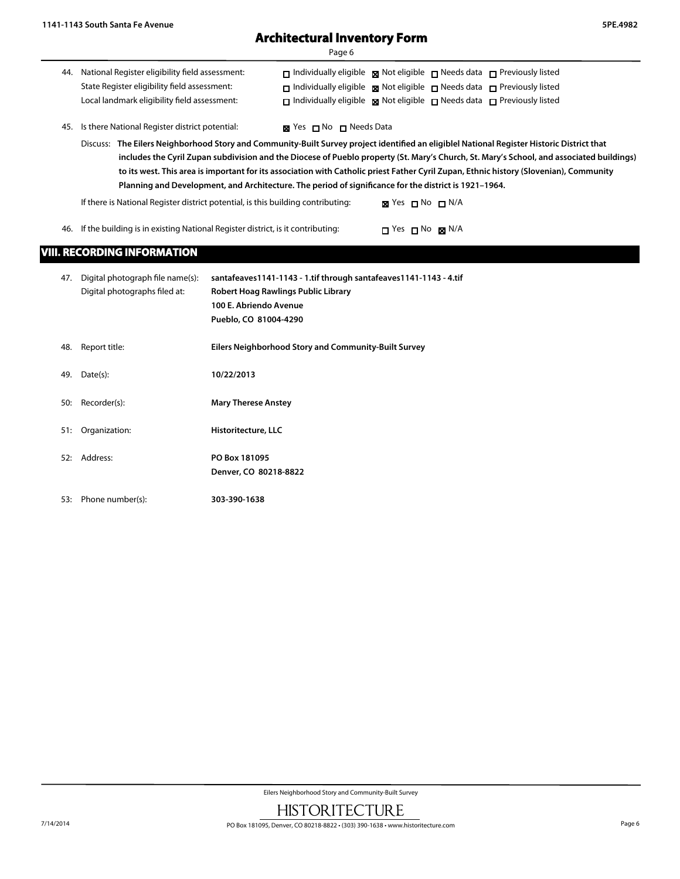## **Architectural Inventory Form**

| חה∽<br>٦ |  |
|----------|--|
|----------|--|

| 44. National Register eligibility field assessment: | $\Box$ Individually eligible $\boxtimes$ Not eligible $\Box$ Needs data $\Box$ Previously listed |  |  |
|-----------------------------------------------------|--------------------------------------------------------------------------------------------------|--|--|
| State Register eligibility field assessment:        | $\Box$ Individually eligible $\boxtimes$ Not eligible $\Box$ Needs data $\Box$ Previously listed |  |  |
| Local landmark eligibility field assessment:        | $\Box$ Individually eligible $\boxtimes$ Not eligible $\Box$ Needs data $\Box$ Previously listed |  |  |

45. Is there National Register district potential:  $\boxtimes$  Yes  $\Box$  No  $\Box$  Needs Data

Discuss: **The Eilers Neighborhood Story and Community-Built Survey project identified an eligiblel National Register Historic District that includes the Cyril Zupan subdivision and the Diocese of Pueblo property (St. Mary's Church, St. Mary's School, and associated buildings) to its west. This area is important for its association with Catholic priest Father Cyril Zupan, Ethnic history (Slovenian), Community Planning and Development, and Architecture. The period of significance for the district is 1921–1964.**

If there is National Register district potential, is this building contributing:  $\boxtimes$  Yes  $\Box$  No  $\Box$  N/A

46. If the building is in existing National Register district, is it contributing:  $\Box$  Yes  $\Box$  No  $\boxtimes$  N/A

### **VIII. RECORDING INFORMATION**

| 47. | Digital photograph file name(s):<br>Digital photographs filed at: | santafeaves1141-1143 - 1.tif through santafeaves1141-1143 - 4.tif<br>Robert Hoag Rawlings Public Library<br>100 E. Abriendo Avenue<br>Pueblo, CO 81004-4290 |
|-----|-------------------------------------------------------------------|-------------------------------------------------------------------------------------------------------------------------------------------------------------|
| 48. | Report title:                                                     | Eilers Neighborhood Story and Community-Built Survey                                                                                                        |
| 49. | Date(s):                                                          | 10/22/2013                                                                                                                                                  |
| 50: | Recorder(s):                                                      | <b>Mary Therese Anstey</b>                                                                                                                                  |
| 51: | Organization:                                                     | Historitecture, LLC                                                                                                                                         |
| 52: | Address:                                                          | PO Box 181095<br>Denver, CO 80218-8822                                                                                                                      |
| 53: | Phone number(s):                                                  | 303-390-1638                                                                                                                                                |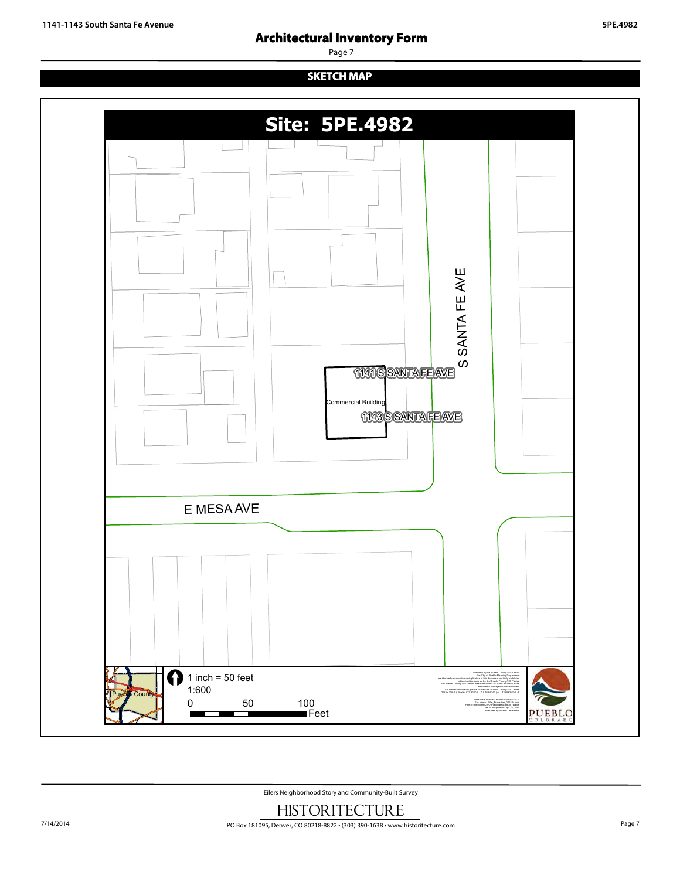## **Architectural Inventory Form**

Page 7

## **SKETCH MAP**